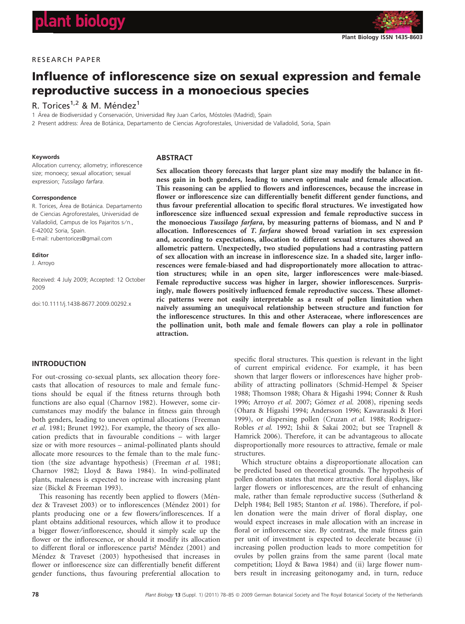

# Influence of inflorescence size on sexual expression and female reproductive success in a monoecious species

# R. Torices<sup>1,2</sup> & M. Méndez<sup>1</sup>

1 Área de Biodiversidad y Conservación, Universidad Rey Juan Carlos, Móstoles (Madrid), Spain

2 Present address: Área de Botánica, Departamento de Ciencias Agroforestales, Universidad de Valladolid, Soria, Spain

#### Keywords

Allocation currency; allometry; inflorescence size; monoecy; sexual allocation; sexual expression; Tussilago farfara.

#### Correspondence

R. Torices, Área de Botánica. Departamento de Ciencias Agroforestales, Universidad de Valladolid, Campus de los Pajaritos s⁄ n., E-42002 Soria, Spain. E-mail: rubentorices@gmail.com

#### Editor

J. Arroyo

Received: 4 July 2009; Accepted: 12 October 2009

doi:10.1111/j.1438-8677.2009.00292.x

## ABSTRACT

Sex allocation theory forecasts that larger plant size may modify the balance in fitness gain in both genders, leading to uneven optimal male and female allocation. This reasoning can be applied to flowers and inflorescences, because the increase in flower or inflorescence size can differentially benefit different gender functions, and thus favour preferential allocation to specific floral structures. We investigated how inflorescence size influenced sexual expression and female reproductive success in the monoecious Tussilago farfara, by measuring patterns of biomass, and N and P allocation. Inflorescences of T. farfara showed broad variation in sex expression and, according to expectations, allocation to different sexual structures showed an allometric pattern. Unexpectedly, two studied populations had a contrasting pattern of sex allocation with an increase in inflorescence size. In a shaded site, larger inflorescences were female-biased and had disproportionately more allocation to attraction structures; while in an open site, larger inflorescences were male-biased. Female reproductive success was higher in larger, showier inflorescences. Surprisingly, male flowers positively influenced female reproductive success. These allometric patterns were not easily interpretable as a result of pollen limitation when naïvely assuming an unequivocal relationship between structure and function for the inflorescence structures. In this and other Asteraceae, where inflorescences are the pollination unit, both male and female flowers can play a role in pollinator attraction.

# INTRODUCTION

For out-crossing co-sexual plants, sex allocation theory forecasts that allocation of resources to male and female functions should be equal if the fitness returns through both functions are also equal (Charnov 1982). However, some circumstances may modify the balance in fitness gain through both genders, leading to uneven optimal allocations (Freeman et al. 1981; Brunet 1992). For example, the theory of sex allocation predicts that in favourable conditions – with larger size or with more resources – animal-pollinated plants should allocate more resources to the female than to the male function (the size advantage hypothesis) (Freeman et al. 1981; Charnov 1982; Lloyd & Bawa 1984). In wind-pollinated plants, maleness is expected to increase with increasing plant size (Bickel & Freeman 1993).

This reasoning has recently been applied to flowers (Méndez & Traveset 2003) or to inflorescences (Méndez 2001) for plants producing one or a few flowers⁄ inflorescences. If a plant obtains additional resources, which allow it to produce a bigger flower⁄ inflorescence, should it simply scale up the flower or the inflorescence, or should it modify its allocation to different floral or inflorescence parts? Méndez (2001) and Méndez & Traveset (2003) hypothesised that increases in flower or inflorescence size can differentially benefit different gender functions, thus favouring preferential allocation to

specific floral structures. This question is relevant in the light of current empirical evidence. For example, it has been shown that larger flowers or inflorescences have higher probability of attracting pollinators (Schmid-Hempel & Speiser 1988; Thomson 1988; Ohara & Higashi 1994; Conner & Rush 1996; Arroyo et al. 2007; Gómez et al. 2008), ripening seeds (Ohara & Higashi 1994; Andersson 1996; Kawarasaki & Hori 1999), or dispersing pollen (Cruzan et al. 1988; Rodriguez-Robles et al. 1992; Ishii & Sakai 2002; but see Trapnell & Hamrick 2006). Therefore, it can be advantageous to allocate disproportionally more resources to attractive, female or male structures.

Which structure obtains a disproportionate allocation can be predicted based on theoretical grounds. The hypothesis of pollen donation states that more attractive floral displays, like larger flowers or inflorescences, are the result of enhancing male, rather than female reproductive success (Sutherland & Delph 1984; Bell 1985; Stanton et al. 1986). Therefore, if pollen donation were the main driver of floral display, one would expect increases in male allocation with an increase in floral or inflorescence size. By contrast, the male fitness gain per unit of investment is expected to decelerate because (i) increasing pollen production leads to more competition for ovules by pollen grains from the same parent (local mate competition; Lloyd & Bawa 1984) and (ii) large flower numbers result in increasing geitonogamy and, in turn, reduce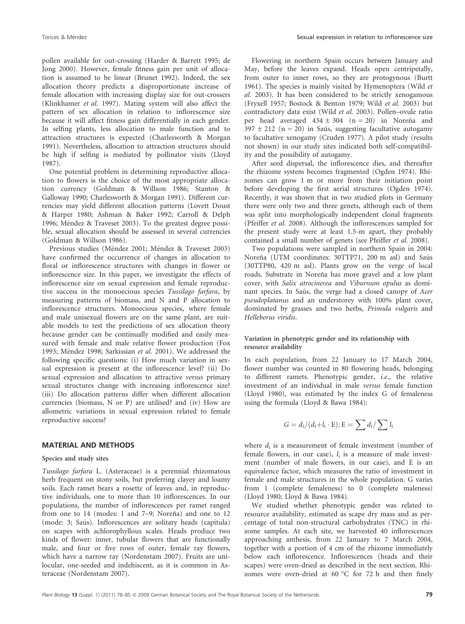pollen available for out-crossing (Harder & Barrett 1995; de Jong 2000). However, female fitness gain per unit of allocation is assumed to be linear (Brunet 1992). Indeed, the sex allocation theory predicts a disproportionate increase of female allocation with increasing display size for out-crossers (Klinkhamer et al. 1997). Mating system will also affect the pattern of sex allocation in relation to inflorescence size because it will affect fitness gain differentially in each gender. In selfing plants, less allocation to male function and to attraction structures is expected (Charlesworth & Morgan 1991). Nevertheless, allocation to attraction structures should be high if selfing is mediated by pollinator visits (Lloyd 1987).

One potential problem in determining reproductive allocation to flowers is the choice of the most appropriate allocation currency (Goldman & Willson 1986; Stanton & Galloway 1990; Charlesworth & Morgan 1991). Different currencies may yield different allocation patterns (Lovett Doust & Harper 1980; Ashman & Baker 1992; Carroll & Delph 1996; Méndez & Traveset 2003). To the greatest degree possible, sexual allocation should be assessed in several currencies (Goldman & Willson 1986).

Previous studies (Méndez 2001; Méndez & Traveset 2003) have confirmed the occurrence of changes in allocation to floral or inflorescence structures with changes in flower or inflorescence size. In this paper, we investigate the effects of inflorescence size on sexual expression and female reproductive success in the monoecious species Tussilago farfara, by measuring patterns of biomass, and N and P allocation to inflorescence structures. Monoecious species, where female and male unisexual flowers are on the same plant, are suitable models to test the predictions of sex allocation theory because gender can be continually modified and easily measured with female and male relative flower production (Fox 1993; Méndez 1998; Sarkissian et al. 2001). We addressed the following specific questions: (i) How much variation in sexual expression is present at the inflorescence level? (ii) Do sexual expression and allocation to attractive versus primary sexual structures change with increasing inflorescence size? (iii) Do allocation patterns differ when different allocation currencies (biomass, N or P) are utilised? and (iv) How are allometric variations in sexual expression related to female reproductive success?

#### MATERIAL AND METHODS

#### Species and study sites

Tussilago farfara L. (Asteraceae) is a perennial rhizomatous herb frequent on stony soils, but preferring clayey and loamy soils. Each ramet bears a rosette of leaves and, in reproductive individuals, one to more than 10 inflorescences. In our populations, the number of inflorescences per ramet ranged from one to  $14 \pmod{7-9}$ ; Norena) and one to  $12$ (mode: 3; Saús). Inflorescences are solitary heads (capitula) on scapes with achlorophyllous scales. Heads produce two kinds of flower: inner, tubular flowers that are functionally male, and four or five rows of outer, female ray flowers, which have a narrow ray (Nordenstam 2007). Fruits are unilocular, one-seeded and indehiscent, as it is common in Asteraceae (Nordenstam 2007).

Flowering in northern Spain occurs between January and May, before the leaves expand. Heads open centripetally, from outer to inner rows, so they are protogynous (Burtt 1961). The species is mainly visited by Hymenoptera (Wild et al. 2003). It has been considered to be strictly xenogamous (Fryxell 1957; Bostock & Benton 1979; Wild et al. 2003) but contradictory data exist (Wild et al. 2003). Pollen–ovule ratio per head averaged  $434 \pm 304$  (n = 20) in Norena and  $397 \pm 212$  (n = 20) in Saús, suggesting facultative autogamy to facultative xenogamy (Cruden 1977). A pilot study (results not shown) in our study sites indicated both self-compatibility and the possibility of autogamy.

After seed dispersal, the inflorescence dies, and thereafter the rhizome system becomes fragmented (Ogden 1974). Rhizomes can grow 1 m or more from their initiation point before developing the first aerial structures (Ogden 1974). Recently, it was shown that in two studied plots in Germany there were only two and three genets, although each of them was split into morphologically independent clonal fragments (Pfeiffer et al. 2008). Although the inflorescences sampled for the present study were at least 1.5-m apart, they probably contained a small number of genets (see Pfeiffer et al. 2008).

Two populations were sampled in northern Spain in 2004: Noreña (UTM coordinates: 30TTP71, 200 m asl) and Saús (30TTP80, 420 m asl). Plants grow on the verge of local roads. Substrate in Noreña has more gravel and a low plant cover, with Salix atrocinerea and Viburnum opulus as dominant species. In Saús, the verge had a closed canopy of Acer pseudoplatanus and an understorey with 100% plant cover, dominated by grasses and two herbs, Primula vulgaris and Helleborus viridis.

# Variation in phenotypic gender and its relationship with resource availability

In each population, from 22 January to 17 March 2004, flower number was counted in 80 flowering heads, belonging to different ramets. Phenotypic gender, i.e., the relative investment of an individual in male versus female function (Lloyd 1980), was estimated by the index G of femaleness using the formula (Lloyd & Bawa 1984):

$$
G = d_i/(d_i + l_i \cdot E); E = \sum d_i / \sum l_i
$$

where  $d_i$  is a measurement of female investment (number of female flowers, in our case),  $l_i$  is a measure of male investment (number of male flowers, in our case), and E is an equivalence factor, which measures the ratio of investment in female and male structures in the whole population. G varies from 1 (complete femaleness) to 0 (complete maleness) (Lloyd 1980; Lloyd & Bawa 1984).

We studied whether phenotypic gender was related to resource availability, estimated as scape dry mass and as percentage of total non-structural carbohydrates (TNC) in rhizome samples. At each site, we harvested 40 inflorescences approaching anthesis, from 22 January to 7 March 2004, together with a portion of 4 cm of the rhizome immediately below each inflorescence. Inflorescences (heads and their scapes) were oven-dried as described in the next section. Rhizomes were oven-dried at 60  $^{\circ}$ C for 72 h and then finely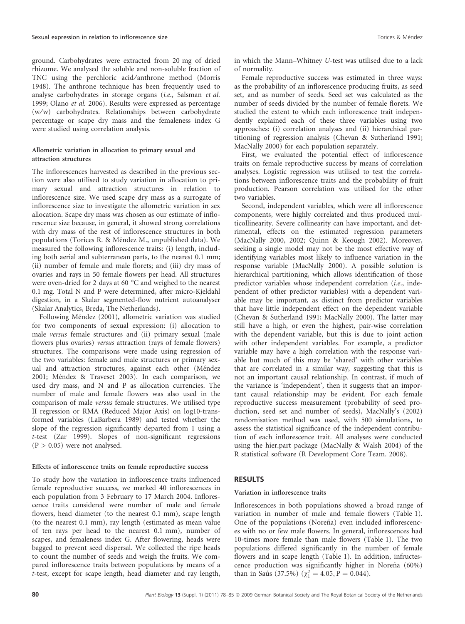ground. Carbohydrates were extracted from 20 mg of dried rhizome. We analysed the soluble and non-soluble fraction of TNC using the perchloric acid/anthrone method (Morris 1948). The anthrone technique has been frequently used to analyse carbohydrates in storage organs (i.e., Salsman et al. 1999; Olano et al. 2006). Results were expressed as percentage (w⁄w) carbohydrates. Relationships between carbohydrate percentage or scape dry mass and the femaleness index G were studied using correlation analysis.

# Allometric variation in allocation to primary sexual and attraction structures

The inflorescences harvested as described in the previous section were also utilised to study variation in allocation to primary sexual and attraction structures in relation to inflorescence size. We used scape dry mass as a surrogate of inflorescence size to investigate the allometric variation in sex allocation. Scape dry mass was chosen as our estimate of inflorescence size because, in general, it showed strong correlations with dry mass of the rest of inflorescence structures in both populations (Torices R. & Méndez M., unpublished data). We measured the following inflorescence traits: (i) length, including both aerial and subterranean parts, to the nearest 0.1 mm; (ii) number of female and male florets; and (iii) dry mass of ovaries and rays in 50 female flowers per head. All structures were oven-dried for 2 days at 60 °C and weighed to the nearest 0.1 mg. Total N and P were determined, after micro-Kjeldahl digestion, in a Skalar segmented-flow nutrient autoanalyser (Skalar Analytics, Breda, The Netherlands).

Following Méndez (2001), allometric variation was studied for two components of sexual expression: (i) allocation to male versus female structures and (ii) primary sexual (male flowers plus ovaries) versus attraction (rays of female flowers) structures. The comparisons were made using regression of the two variables: female and male structures or primary sexual and attraction structures, against each other (Méndez 2001; Méndez & Traveset 2003). In each comparison, we used dry mass, and N and P as allocation currencies. The number of male and female flowers was also used in the comparison of male versus female structures. We utilised type II regression or RMA (Reduced Major Axis) on log10-transformed variables (LaBarbera 1989) and tested whether the slope of the regression significantly departed from 1 using a t-test (Zar 1999). Slopes of non-significant regressions  $(P > 0.05)$  were not analysed.

#### Effects of inflorescence traits on female reproductive success

To study how the variation in inflorescence traits influenced female reproductive success, we marked 40 inflorescences in each population from 3 February to 17 March 2004. Inflorescence traits considered were number of male and female flowers, head diameter (to the nearest 0.1 mm), scape length (to the nearest 0.1 mm), ray length (estimated as mean value of ten rays per head to the nearest 0.1 mm), number of scapes, and femaleness index G. After flowering, heads were bagged to prevent seed dispersal. We collected the ripe heads to count the number of seeds and weigh the fruits. We compared inflorescence traits between populations by means of a t-test, except for scape length, head diameter and ray length,

in which the Mann–Whitney U-test was utilised due to a lack of normality.

Female reproductive success was estimated in three ways: as the probability of an inflorescence producing fruits, as seed set, and as number of seeds. Seed set was calculated as the number of seeds divided by the number of female florets. We studied the extent to which each inflorescence trait independently explained each of these three variables using two approaches: (i) correlation analyses and (ii) hierarchical partitioning of regression analysis (Chevan & Sutherland 1991; MacNally 2000) for each population separately.

First, we evaluated the potential effect of inflorescence traits on female reproductive success by means of correlation analyses. Logistic regression was utilised to test the correlations between inflorescence traits and the probability of fruit production. Pearson correlation was utilised for the other two variables.

Second, independent variables, which were all inflorescence components, were highly correlated and thus produced multicollinearity. Severe collinearity can have important, and detrimental, effects on the estimated regression parameters (MacNally 2000, 2002; Quinn & Keough 2002). Moreover, seeking a single model may not be the most effective way of identifying variables most likely to influence variation in the response variable (MacNally 2000). A possible solution is hierarchical partitioning, which allows identification of those predictor variables whose independent correlation (i.e., independent of other predictor variables) with a dependent variable may be important, as distinct from predictor variables that have little independent effect on the dependent variable (Chevan & Sutherland 1991; MacNally 2000). The latter may still have a high, or even the highest, pair-wise correlation with the dependent variable, but this is due to joint action with other independent variables. For example, a predictor variable may have a high correlation with the response variable but much of this may be 'shared' with other variables that are correlated in a similar way, suggesting that this is not an important causal relationship. In contrast, if much of the variance is 'independent', then it suggests that an important causal relationship may be evident. For each female reproductive success measurement (probability of seed production, seed set and number of seeds), MacNally's (2002) randomisation method was used, with 500 simulations, to assess the statistical significance of the independent contribution of each inflorescence trait. All analyses were conducted using the hier.part package (MacNally & Walsh 2004) of the R statistical software (R Development Core Team. 2008).

# **RESULTS**

#### Variation in inflorescence traits

Inflorescences in both populations showed a broad range of variation in number of male and female flowers (Table 1). One of the populations (Noreña) even included inflorescences with no or few male flowers. In general, inflorescences had 10-times more female than male flowers (Table 1). The two populations differed significantly in the number of female flowers and in scape length (Table 1). In addition, infructescence production was significantly higher in Norena  $(60\%)$ than in Saús (37.5%) ( $\chi_1^2 = 4.05$ , P = 0.044).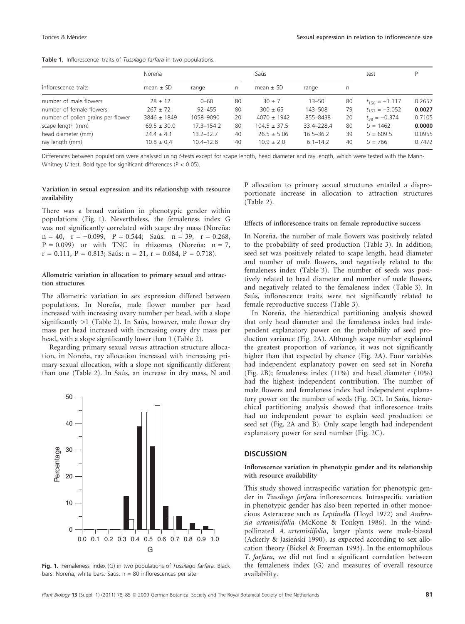|                                    | Noreña          |                |    | Saús             |               |    | test               | P      |
|------------------------------------|-----------------|----------------|----|------------------|---------------|----|--------------------|--------|
| inflorescence traits               | mean $\pm$ SD   | range          | n  | mean $\pm$ SD    | range         | n  |                    |        |
| number of male flowers             | $28 \pm 12$     | $0 - 60$       | 80 | $30 + 7$         | $13 - 50$     | 80 | $t_{158} = -1.117$ | 0.2657 |
| number of female flowers           | $267 \pm 72$    | $92 - 455$     | 80 | $300 \pm 65$     | 143-508       | 79 | $t_{157} = -3.052$ | 0.0027 |
| number of pollen grains per flower | $3846 \pm 1849$ | 1058-9090      | 20 | $4070 \pm 1942$  | 855-8438      | 20 | $t_{28} = -0.374$  | 0.7105 |
| scape length (mm)                  | $69.5 \pm 30.0$ | $17.3 - 154.2$ | 80 | $104.5 \pm 37.5$ | 33.4-228.4    | 80 | $U = 1462$         | 0.0000 |
| head diameter (mm)                 | $24.4 \pm 4.1$  | $13.2 - 32.7$  | 40 | $26.5 \pm 5.06$  | $16.5 - 36.2$ | 39 | $U = 609.5$        | 0.0955 |
| ray length (mm)                    | $10.8 \pm 0.4$  | $10.4 - 12.8$  | 40 | $10.9 \pm 2.0$   | $6.1 - 14.2$  | 40 | $U = 766$          | 0.7472 |

Table 1. Inflorescence traits of Tussilago farfara in two populations.

Differences between populations were analysed using t-tests except for scape length, head diameter and ray length, which were tested with the Mann-Whitney  $U$  test. Bold type for significant differences (P < 0.05).

# Variation in sexual expression and its relationship with resource availability

There was a broad variation in phenotypic gender within populations (Fig. 1). Nevertheless, the femaleness index G was not significantly correlated with scape dry mass (Noreña:  $n = 40$ ,  $r = -0.099$ ,  $P = 0.544$ ; Saús:  $n = 39$ ,  $r = 0.268$ ,  $P = 0.099$ ) or with TNC in rhizomes (Norena:  $n = 7$ ,  $r = 0.111$ ,  $P = 0.813$ ; Saús:  $n = 21$ ,  $r = 0.084$ ,  $P = 0.718$ ).

# Allometric variation in allocation to primary sexual and attraction structures

The allometric variation in sex expression differed between populations. In Noreña, male flower number per head increased with increasing ovary number per head, with a slope significantly  $>1$  (Table 2). In Saús, however, male flower dry mass per head increased with increasing ovary dry mass per head, with a slope significantly lower than 1 (Table 2).

Regarding primary sexual versus attraction structure allocation, in Noreña, ray allocation increased with increasing primary sexual allocation, with a slope not significantly different than one (Table 2). In Saús, an increase in dry mass, N and



Fig. 1. Femaleness index (G) in two populations of Tussilago farfara. Black bars: Noreña; white bars: Saús.  $n = 80$  inflorescences per site.

P allocation to primary sexual structures entailed a disproportionate increase in allocation to attraction structures (Table 2).

#### Effects of inflorescence traits on female reproductive success

In Noreña, the number of male flowers was positively related to the probability of seed production (Table 3). In addition, seed set was positively related to scape length, head diameter and number of male flowers, and negatively related to the femaleness index (Table 3). The number of seeds was positively related to head diameter and number of male flowers, and negatively related to the femaleness index (Table 3). In Saús, inflorescence traits were not significantly related to female reproductive success (Table 3).

In Noreña, the hierarchical partitioning analysis showed that only head diameter and the femaleness index had independent explanatory power on the probability of seed production variance (Fig. 2A). Although scape number explained the greatest proportion of variance, it was not significantly higher than that expected by chance (Fig. 2A). Four variables had independent explanatory power on seed set in Noreña (Fig. 2B); femaleness index (11%) and head diameter (10%) had the highest independent contribution. The number of male flowers and femaleness index had independent explanatory power on the number of seeds (Fig. 2C). In Saús, hierarchical partitioning analysis showed that inflorescence traits had no independent power to explain seed production or seed set (Fig. 2A and B). Only scape length had independent explanatory power for seed number (Fig. 2C).

#### **DISCUSSION**

## Inflorescence variation in phenotypic gender and its relationship with resource availability

This study showed intraspecific variation for phenotypic gender in Tussilago farfara inflorescences. Intraspecific variation in phenotypic gender has also been reported in other monoecious Asteraceae such as Leptinella (Lloyd 1972) and Ambrosia artemisiifolia (McKone & Tonkyn 1986). In the windpollinated A. artemisiifolia, larger plants were male-biased (Ackerly & Jasieński 1990), as expected according to sex allocation theory (Bickel & Freeman 1993). In the entomophilous T. farfara, we did not find a significant correlation between the femaleness index (G) and measures of overall resource availability.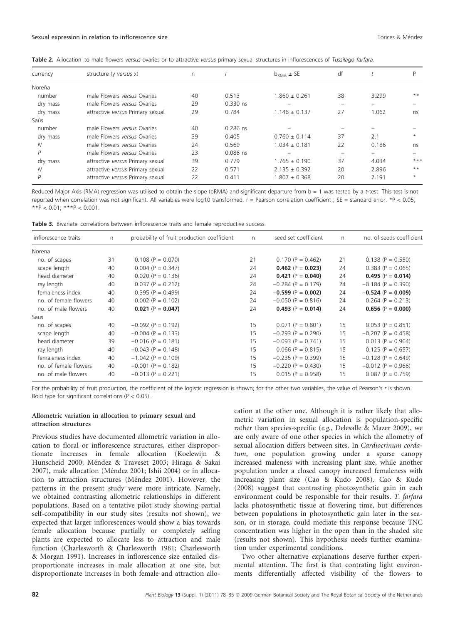| Table 2. Allocation to male flowers versus ovaries or to attractive versus primary sexual structures in inflorescences of Tussilago farfara. |  |
|----------------------------------------------------------------------------------------------------------------------------------------------|--|
|----------------------------------------------------------------------------------------------------------------------------------------------|--|

| currency | structure (y versus x)           | n  |            | $b_{\text{RMA}}$ $\pm$ SE | df                       |                          |         |
|----------|----------------------------------|----|------------|---------------------------|--------------------------|--------------------------|---------|
| Noreña   |                                  |    |            |                           |                          |                          |         |
| number   | male Flowers versus Ovaries      | 40 | 0.513      | $1.860 \pm 0.261$         | 38                       | 3.299                    | $***$   |
| dry mass | male Flowers versus Ovaries      | 29 | $0.330$ ns | $\overline{\phantom{0}}$  | $\overline{\phantom{0}}$ | $\overline{\phantom{0}}$ |         |
| dry mass | attractive versus Primary sexual | 29 | 0.784      | $1.146 \pm 0.137$         | 27                       | 1.062                    | ns      |
| Saús     |                                  |    |            |                           |                          |                          |         |
| number   | male Flowers versus Ovaries      | 40 | $0.286$ ns |                           |                          |                          |         |
| dry mass | male Flowers versus Ovaries      | 39 | 0.405      | $0.760 \pm 0.114$         | 37                       | 2.1                      | $\star$ |
| N        | male Flowers versus Ovaries      | 24 | 0.569      | $1.034 \pm 0.181$         | 22                       | 0.186                    | ns      |
| P        | male Flowers versus Ovaries      | 23 | $0.086$ ns |                           |                          |                          |         |
| dry mass | attractive versus Primary sexual | 39 | 0.779      | $1.765 \pm 0.190$         | 37                       | 4.034                    | $***$   |
| N        | attractive versus Primary sexual | 22 | 0.571      | $2.135 \pm 0.392$         | 20                       | 2.896                    | $***$   |
| P        | attractive versus Primary sexual | 22 | 0.411      | $1.807 \pm 0.368$         | 20                       | 2.191                    | $\star$ |

Reduced Major Axis (RMA) regression was utilised to obtain the slope (bRMA) and significant departure from  $b = 1$  was tested by a t-test. This test is not reported when correlation was not significant. All variables were log10 transformed.  $r =$  Pearson correlation coefficient ; SE = standard error. \*P < 0.05;  $*$ \*P < 0.01; \*\*\*P < 0.001.

Table 3. Bivariate correlations between inflorescence traits and female reproductive success.

| inflorescence traits  | n  | probability of fruit production coefficient | n  | seed set coefficient | $\mathsf{n}$ | no. of seeds coefficient |
|-----------------------|----|---------------------------------------------|----|----------------------|--------------|--------------------------|
| Norena                |    |                                             |    |                      |              |                          |
| no. of scapes         | 31 | $0.108$ (P = 0.070)                         | 21 | $0.170$ (P = 0.462)  | 21           | $0.138$ (P = 0.550)      |
| scape length          | 40 | $0.004$ (P = 0.347)                         | 24 | $0.462$ (P = 0.023)  | 24           | $0.383$ (P = 0.065)      |
| head diameter         | 40 | $0.020$ (P = 0.136)                         | 24 | $0.421 (P = 0.040)$  | 24           | $0.495$ (P = 0.014)      |
| ray length            | 40 | $0.037 (P = 0.212)$                         | 24 | $-0.284$ (P = 0.179) | 24           | $-0.184$ (P = 0.390)     |
| femaleness index      | 40 | $0.395$ (P = 0.499)                         | 24 | $-0.599$ (P = 0.002) | 24           | $-0.524$ (P = 0.009)     |
| no. of female flowers | 40 | $0.002$ (P = 0.102)                         | 24 | $-0.050$ (P = 0.816) | 24           | $0.264$ (P = 0.213)      |
| no. of male flowers   | 40 | $0.021$ (P = 0.047)                         | 24 | $0.493$ (P = 0.014)  | 24           | $0.656$ (P = 0.000)      |
| Saus                  |    |                                             |    |                      |              |                          |
| no. of scapes         | 40 | $-0.092$ (P = 0.192)                        | 15 | $0.071$ (P = 0.801)  | 15           | $0.053$ (P = 0.851)      |
| scape length          | 40 | $-0.004$ (P = 0.133)                        | 15 | $-0.293$ (P = 0.290) | 15           | $-0.207$ (P = 0.458)     |
| head diameter         | 39 | $-0.016$ (P = 0.181)                        | 15 | $-0.093$ (P = 0.741) | 15           | $0.013$ (P = 0.964)      |
| ray length            | 40 | $-0.043$ (P = 0.148)                        | 15 | $0.066$ (P = 0.815)  | 15           | $0.125$ (P = 0.657)      |
| femaleness index      | 40 | $-1.042$ (P = 0.109)                        | 15 | $-0.235$ (P = 0.399) | 15           | $-0.128$ (P = 0.649)     |
| no. of female flowers | 40 | $-0.001$ (P = 0.182)                        | 15 | $-0.220$ (P = 0.430) | 15           | $-0.012$ (P = 0.966)     |
| no. of male flowers   | 40 | $-0.013$ (P = 0.221)                        | 15 | $0.015$ (P = 0.958)  | 15           | $0.087$ (P = 0.759)      |

For the probability of fruit production, the coefficient of the logistic regression is shown; for the other two variables, the value of Pearson's r is shown. Bold type for significant correlations ( $P < 0.05$ ).

# Allometric variation in allocation to primary sexual and attraction structures

Previous studies have documented allometric variation in allocation to floral or inflorescence structures, either disproportionate increases in female allocation (Koelewijn & Hunscheid 2000; Méndez & Traveset 2003; Hiraga & Sakai 2007), male allocation (Méndez 2001; Ishii 2004) or in allocation to attraction structures (Méndez 2001). However, the patterns in the present study were more intricate. Namely, we obtained contrasting allometric relationships in different populations. Based on a tentative pilot study showing partial self-compatibility in our study sites (results not shown), we expected that larger inflorescences would show a bias towards female allocation because partially or completely selfing plants are expected to allocate less to attraction and male function (Charlesworth & Charlesworth 1981; Charlesworth & Morgan 1991). Increases in inflorescence size entailed disproportionate increases in male allocation at one site, but disproportionate increases in both female and attraction allocation at the other one. Although it is rather likely that allometric variation in sexual allocation is population-specific rather than species-specific (e.g., Delesalle & Mazer 2009), we are only aware of one other species in which the allometry of sexual allocation differs between sites. In Cardiocrinum cordatum, one population growing under a sparse canopy increased maleness with increasing plant size, while another population under a closed canopy increased femaleness with increasing plant size (Cao & Kudo 2008). Cao & Kudo (2008) suggest that contrasting photosynthetic gain in each environment could be responsible for their results. T. farfara lacks photosynthetic tissue at flowering time, but differences between populations in photosynthetic gain later in the season, or in storage, could mediate this response because TNC concentration was higher in the open than in the shaded site (results not shown). This hypothesis needs further examination under experimental conditions.

Two other alternative explanations deserve further experimental attention. The first is that contrating light environments differentially affected visibility of the flowers to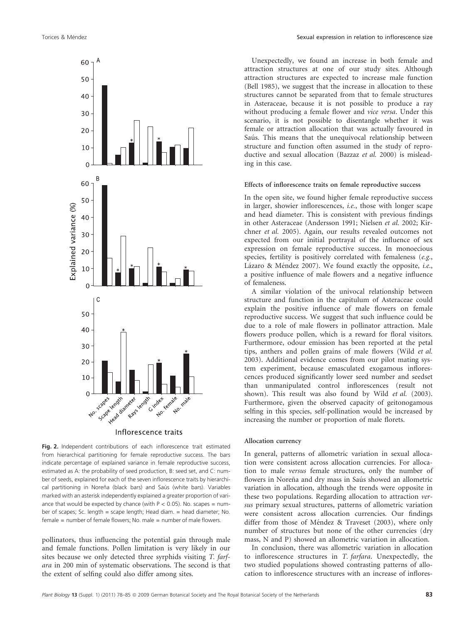

Inflorescence traits

Fig. 2. Independent contributions of each inflorescence trait estimated from hierarchical partitioning for female reproductive success. The bars indicate percentage of explained variance in female reproductive success, estimated as A: the probability of seed production, B: seed set, and C: number of seeds, explained for each of the seven inflorescence traits by hierarchical partitioning in Noreña (black bars) and Saús (white bars). Variables marked with an asterisk independently explained a greater proportion of variance that would be expected by chance (with  $P < 0.05$ ). No. scapes = number of scapes; Sc. length = scape length; Head diam. = head diameter; No. female = number of female flowers; No. male = number of male flowers.

pollinators, thus influencing the potential gain through male and female functions. Pollen limitation is very likely in our sites because we only detected three syrphids visiting T. farfara in 200 min of systematic observations. The second is that the extent of selfing could also differ among sites.

Unexpectedly, we found an increase in both female and attraction structures at one of our study sites. Although attraction structures are expected to increase male function (Bell 1985), we suggest that the increase in allocation to these structures cannot be separated from that to female structures in Asteraceae, because it is not possible to produce a ray without producing a female flower and vice versa. Under this scenario, it is not possible to disentangle whether it was female or attraction allocation that was actually favoured in Saús. This means that the unequivocal relationship between structure and function often assumed in the study of reproductive and sexual allocation (Bazzaz et al. 2000) is misleading in this case.

#### Effects of inflorescence traits on female reproductive success

In the open site, we found higher female reproductive success in larger, showier inflorescences, i.e., those with longer scape and head diameter. This is consistent with previous findings in other Asteraceae (Andersson 1991; Nielsen et al. 2002; Kirchner et al. 2005). Again, our results revealed outcomes not expected from our initial portrayal of the influence of sex expression on female reproductive success. In monoecious species, fertility is positively correlated with femaleness (e.g., Lázaro & Méndez 2007). We found exactly the opposite, i.e., a positive influence of male flowers and a negative influence of femaleness.

A similar violation of the univocal relationship between structure and function in the capitulum of Asteraceae could explain the positive influence of male flowers on female reproductive success. We suggest that such influence could be due to a role of male flowers in pollinator attraction. Male flowers produce pollen, which is a reward for floral visitors. Furthermore, odour emission has been reported at the petal tips, anthers and pollen grains of male flowers (Wild et al. 2003). Additional evidence comes from our pilot mating system experiment, because emasculated exogamous inflorescences produced significantly lower seed number and seedset than unmanipulated control inflorescences (result not shown). This result was also found by Wild et al. (2003). Furthermore, given the observed capacity of geitonogamous selfing in this species, self-pollination would be increased by increasing the number or proportion of male florets.

# Allocation currency

In general, patterns of allometric variation in sexual allocation were consistent across allocation currencies. For allocation to male versus female structures, only the number of flowers in Noreña and dry mass in Saús showed an allometric variation in allocation, although the trends were opposite in these two populations. Regarding allocation to attraction versus primary sexual structures, patterns of allometric variation were consistent across allocation currencies. Our findings differ from those of Méndez & Traveset (2003), where only number of structures but none of the other currencies (dry mass, N and P) showed an allometric variation in allocation.

In conclusion, there was allometric variation in allocation to inflorescence structures in T. farfara. Unexpectedly, the two studied populations showed contrasting patterns of allocation to inflorescence structures with an increase of inflores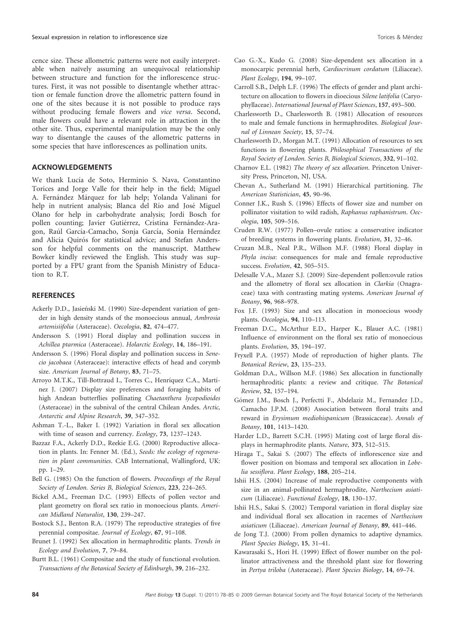cence size. These allometric patterns were not easily interpretable when naïvely assuming an unequivocal relationship between structure and function for the inflorescence structures. First, it was not possible to disentangle whether attraction or female function drove the allometric pattern found in one of the sites because it is not possible to produce rays without producing female flowers and vice versa. Second, male flowers could have a relevant role in attraction in the other site. Thus, experimental manipulation may be the only way to disentangle the causes of the allometric patterns in some species that have inflorescences as pollination units.

# ACKNOWLEDGEMENTS

We thank Lucía de Soto, Herminio S. Nava, Constantino Torices and Jorge Valle for their help in the field; Miguel A. Fernández Márquez for lab help; Yolanda Valinani for help in nutrient analysis; Blanca del Río and José Miguel Olano for help in carbohydrate analysis; Jordi Bosch for pollen counting; Javier Gutiérrez, Cristina Fernández-Aragon, Raúl García-Camacho, Sonja García, Sonia Hernández and Alicia Quirós for statistical advice; and Stefan Andersson for helpful comments on the manuscript. Matthew Bowker kindly reviewed the English. This study was supported by a FPU grant from the Spanish Ministry of Education to R.T.

# **REFERENCES**

- Ackerly D.D., Jasieński M. (1990) Size-dependent variation of gender in high density stands of the monoecious annual, Ambrosia artemisiifolia (Asteraceae). Oecologia, 82, 474–477.
- Andersson S. (1991) Floral display and pollination success in Achillea ptarmica (Asteraceae). Holarctic Ecology, 14, 186–191.
- Andersson S. (1996) Floral display and pollination success in Senecio jacobaea (Asteraceae): interactive effects of head and corymb size. American Journal of Botany, 83, 71–75.
- Arroyo M.T.K., Till-Bottraud I., Torres C., Henríquez C.A., Martínez J. (2007) Display size preferences and foraging habits of high Andean butterflies pollinating Chaetanthera lycopodioides (Asteraceae) in the subnival of the central Chilean Andes. Arctic, Antarctic and Alpine Research, 39, 347–352.
- Ashman T.-L., Baker I. (1992) Variation in floral sex allocation with time of season and currency. *Ecology*, **73**, 1237–1243.
- Bazzaz F.A., Ackerly D.D., Reekie E.G. (2000) Reproductive allocation in plants. In: Fenner M. (Ed.), Seeds: the ecology of regeneration in plant communities. CAB International, Wallingford, UK: pp. 1–29.
- Bell G. (1985) On the function of flowers. Proceedings of the Royal Society of London. Series B, Biological Sciences, 223, 224–265.
- Bickel A.M., Freeman D.C. (1993) Effects of pollen vector and plant geometry on floral sex ratio in monoecious plants. American Midland Naturalist, 130, 239–247.
- Bostock S.J., Benton R.A. (1979) The reproductive strategies of five perennial compositae. Journal of Ecology, 67, 91–108.
- Brunet J. (1992) Sex allocation in hermaphroditic plants. Trends in Ecology and Evolution, 7, 79–84.
- Burtt B.L. (1961) Compositae and the study of functional evolution. Transactions of the Botanical Society of Edinburgh, 39, 216–232.
- Cao G.-X., Kudo G. (2008) Size-dependent sex allocation in a monocarpic perennial herb, Cardiocrinum cordatum (Liliaceae). Plant Ecology, 194, 99–107.
- Carroll S.B., Delph L.F. (1996) The effects of gender and plant architecture on allocation to flowers in dioecious Silene latifolia (Caryophyllaceae). International Journal of Plant Sciences, 157, 493–500.
- Charlesworth D., Charlesworth B. (1981) Allocation of resources to male and female functions in hermaphrodites. Biological Journal of Linnean Society, 15, 57–74.
- Charlesworth D., Morgan M.T. (1991) Allocation of resources to sex functions in flowering plants. Philosophical Transactions of the Royal Society of London. Series B, Biological Sciences, 332, 91–102.
- Charnov E.L. (1982) The theory of sex allocation. Princeton University Press, Princeton, NJ, USA.
- Chevan A., Sutherland M. (1991) Hierarchical partitioning. The American Statistician, 45, 90–96.
- Conner J.K., Rush S. (1996) Effects of flower size and number on pollinator visitation to wild radish, Raphanus raphanistrum. Oecologia, 105, 509–516.
- Cruden R.W. (1977) Pollen–ovule ratios: a conservative indicator of breeding systems in flowering plants. Evolution, 31, 32–46.
- Cruzan M.B., Neal P.R., Willson M.F. (1988) Floral display in Phyla incisa: consequences for male and female reproductive success. Evolution, 42, 505-515.
- Delesalle V.A., Mazer S.J. (2009) Size-dependent pollen:ovule ratios and the allometry of floral sex allocation in Clarkia (Onagraceae) taxa with contrasting mating systems. American Journal of Botany, 96, 968–978.
- Fox J.F. (1993) Size and sex allocation in monoecious woody plants. Oecologia, 94, 110–113.
- Freeman D.C., McArthur E.D., Harper K., Blauer A.C. (1981) Influence of environment on the floral sex ratio of monoecious plants. Evolution, 35, 194–197.
- Fryxell P.A. (1957) Mode of reproduction of higher plants. The Botanical Review, 23, 135–233.
- Goldman D.A., Willson M.F. (1986) Sex allocation in functionally hermaphroditic plants: a review and critique. The Botanical Review, 52, 157–194.
- Gómez J.M., Bosch J., Perfectti F., Abdelaziz M., Fernandez J.D., Camacho J.P.M. (2008) Association between floral traits and reward in Erysimum mediohispanicum (Brassicaceae). Annals of Botany, 101, 1413–1420.
- Harder L.D., Barrett S.C.H. (1995) Mating cost of large floral displays in hermaphrodite plants. Nature, 373, 512–515.
- Hiraga T., Sakai S. (2007) The effects of inflorescence size and flower position on biomass and temporal sex allocation in Lobelia sessiflora. Plant Ecology, 188, 205–214.
- Ishii H.S. (2004) Increase of male reproductive components with size in an animal-pollinated hermaphrodite, Narthecium asiaticum (Liliaceae). Functional Ecology, 18, 130–137.
- Ishii H.S., Sakai S. (2002) Temporal variation in floral display size and individual floral sex allocation in racemes of Narthecium asiaticum (Liliaceae). American Journal of Botany, 89, 441–446.
- de Jong T.J. (2000) From pollen dynamics to adaptive dynamics. Plant Species Biology, 15, 31–41.
- Kawarasaki S., Hori H. (1999) Effect of flower number on the pollinator attractiveness and the threshold plant size for flowering in Pertya triloba (Asteraceae). Plant Species Biology, 14, 69–74.